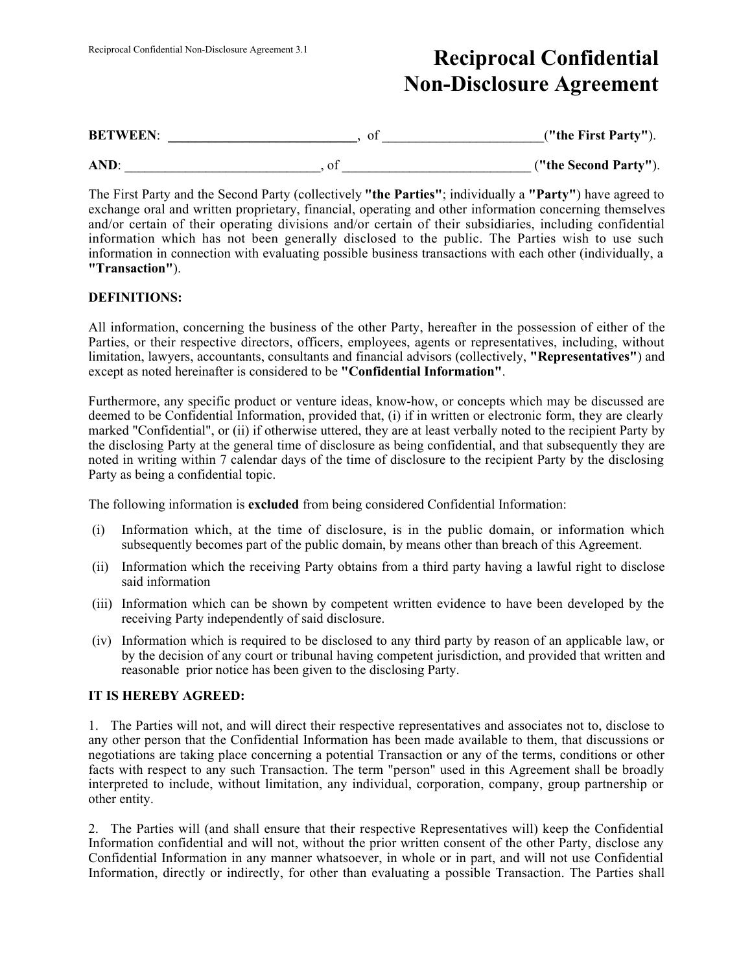# Reciprocal Confidential Non-Disclosure Agreement 3.1 Reciprocal Confidential Non-Disclosure Agreement

| <b>BETWEEN:</b> | υı | ("the First Party").  |
|-----------------|----|-----------------------|
| AND:            | υı | ("the Second Party"). |

The First Party and the Second Party (collectively "the Parties"; individually a "Party") have agreed to exchange oral and written proprietary, financial, operating and other information concerning themselves and/or certain of their operating divisions and/or certain of their subsidiaries, including confidential information which has not been generally disclosed to the public. The Parties wish to use such information in connection with evaluating possible business transactions with each other (individually, a "Transaction").

### DEFINITIONS:

All information, concerning the business of the other Party, hereafter in the possession of either of the Parties, or their respective directors, officers, employees, agents or representatives, including, without limitation, lawyers, accountants, consultants and financial advisors (collectively, "Representatives") and except as noted hereinafter is considered to be "Confidential Information".

Furthermore, any specific product or venture ideas, know-how, or concepts which may be discussed are deemed to be Confidential Information, provided that, (i) if in written or electronic form, they are clearly marked "Confidential", or (ii) if otherwise uttered, they are at least verbally noted to the recipient Party by the disclosing Party at the general time of disclosure as being confidential, and that subsequently they are noted in writing within 7 calendar days of the time of disclosure to the recipient Party by the disclosing Party as being a confidential topic.

The following information is excluded from being considered Confidential Information:

- (i) Information which, at the time of disclosure, is in the public domain, or information which subsequently becomes part of the public domain, by means other than breach of this Agreement.
- (ii) Information which the receiving Party obtains from a third party having a lawful right to disclose said information
- (iii) Information which can be shown by competent written evidence to have been developed by the receiving Party independently of said disclosure.
- (iv) Information which is required to be disclosed to any third party by reason of an applicable law, or by the decision of any court or tribunal having competent jurisdiction, and provided that written and reasonable prior notice has been given to the disclosing Party.

### IT IS HEREBY AGREED:

1. The Parties will not, and will direct their respective representatives and associates not to, disclose to any other person that the Confidential Information has been made available to them, that discussions or negotiations are taking place concerning a potential Transaction or any of the terms, conditions or other facts with respect to any such Transaction. The term "person" used in this Agreement shall be broadly interpreted to include, without limitation, any individual, corporation, company, group partnership or other entity.

2. The Parties will (and shall ensure that their respective Representatives will) keep the Confidential Information confidential and will not, without the prior written consent of the other Party, disclose any Confidential Information in any manner whatsoever, in whole or in part, and will not use Confidential Information, directly or indirectly, for other than evaluating a possible Transaction. The Parties shall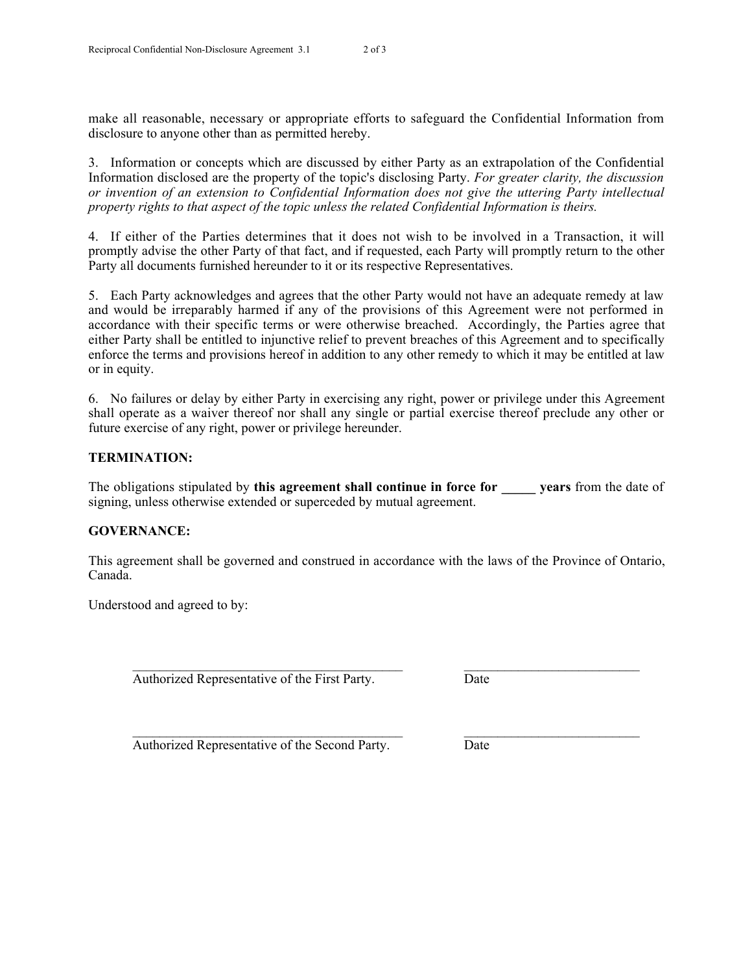make all reasonable, necessary or appropriate efforts to safeguard the Confidential Information from disclosure to anyone other than as permitted hereby.

3. Information or concepts which are discussed by either Party as an extrapolation of the Confidential Information disclosed are the property of the topic's disclosing Party. *For greater clarity, the discussion or invention of an extension to Confidential Information does not give the uttering Party intellectual property rights to that aspect of the topic unless the related Confidential Information is theirs.*

4. If either of the Parties determines that it does not wish to be involved in a Transaction, it will promptly advise the other Party of that fact, and if requested, each Party will promptly return to the other Party all documents furnished hereunder to it or its respective Representatives.

5. Each Party acknowledges and agrees that the other Party would not have an adequate remedy at law and would be irreparably harmed if any of the provisions of this Agreement were not performed in accordance with their specific terms or were otherwise breached. Accordingly, the Parties agree that either Party shall be entitled to injunctive relief to prevent breaches of this Agreement and to specifically enforce the terms and provisions hereof in addition to any other remedy to which it may be entitled at law or in equity.

6. No failures or delay by either Party in exercising any right, power or privilege under this Agreement shall operate as a waiver thereof nor shall any single or partial exercise thereof preclude any other or future exercise of any right, power or privilege hereunder.

### TERMINATION:

The obligations stipulated by this agreement shall continue in force for wears from the date of signing, unless otherwise extended or superceded by mutual agreement.

### GOVERNANCE:

This agreement shall be governed and construed in accordance with the laws of the Province of Ontario, Canada.

 $\mathcal{L}_\text{max} = \mathcal{L}_\text{max} = \mathcal{L}_\text{max} = \mathcal{L}_\text{max} = \mathcal{L}_\text{max} = \mathcal{L}_\text{max} = \mathcal{L}_\text{max} = \mathcal{L}_\text{max} = \mathcal{L}_\text{max} = \mathcal{L}_\text{max} = \mathcal{L}_\text{max} = \mathcal{L}_\text{max} = \mathcal{L}_\text{max} = \mathcal{L}_\text{max} = \mathcal{L}_\text{max} = \mathcal{L}_\text{max} = \mathcal{L}_\text{max} = \mathcal{L}_\text{max} = \mathcal{$ 

Understood and agreed to by:

Authorized Representative of the First Party. Date

 $\mathcal{L}_\text{max} = \mathcal{L}_\text{max} = \mathcal{L}_\text{max} = \mathcal{L}_\text{max} = \mathcal{L}_\text{max} = \mathcal{L}_\text{max} = \mathcal{L}_\text{max} = \mathcal{L}_\text{max} = \mathcal{L}_\text{max} = \mathcal{L}_\text{max} = \mathcal{L}_\text{max} = \mathcal{L}_\text{max} = \mathcal{L}_\text{max} = \mathcal{L}_\text{max} = \mathcal{L}_\text{max} = \mathcal{L}_\text{max} = \mathcal{L}_\text{max} = \mathcal{L}_\text{max} = \mathcal{$ 

Authorized Representative of the Second Party. Date